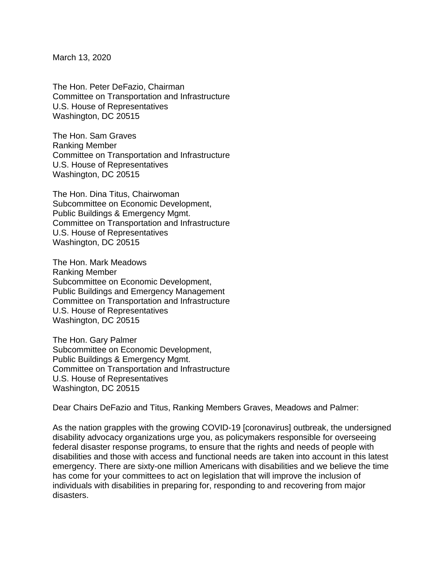March 13, 2020

The Hon. Peter DeFazio, Chairman Committee on Transportation and Infrastructure U.S. House of Representatives Washington, DC 20515

The Hon. Sam Graves Ranking Member Committee on Transportation and Infrastructure U.S. House of Representatives Washington, DC 20515

The Hon. Dina Titus, Chairwoman Subcommittee on Economic Development, Public Buildings & Emergency Mgmt. Committee on Transportation and Infrastructure U.S. House of Representatives Washington, DC 20515

The Hon. Mark Meadows Ranking Member Subcommittee on Economic Development, Public Buildings and Emergency Management Committee on Transportation and Infrastructure U.S. House of Representatives Washington, DC 20515

The Hon. Gary Palmer Subcommittee on Economic Development, Public Buildings & Emergency Mgmt. Committee on Transportation and Infrastructure U.S. House of Representatives Washington, DC 20515

Dear Chairs DeFazio and Titus, Ranking Members Graves, Meadows and Palmer:

As the nation grapples with the growing COVID-19 [coronavirus] outbreak, the undersigned disability advocacy organizations urge you, as policymakers responsible for overseeing federal disaster response programs, to ensure that the rights and needs of people with disabilities and those with access and functional needs are taken into account in this latest emergency. There are sixty-one million Americans with disabilities and we believe the time has come for your committees to act on legislation that will improve the inclusion of individuals with disabilities in preparing for, responding to and recovering from major disasters.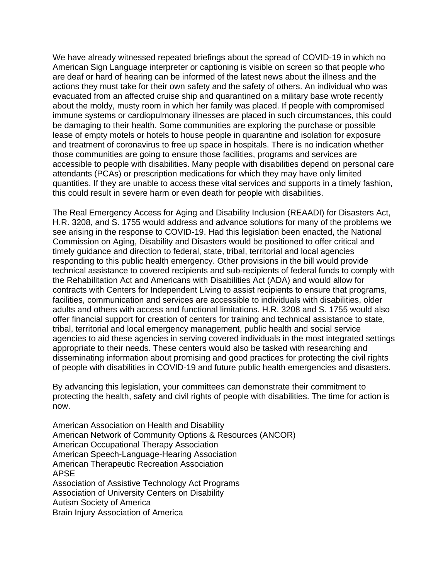We have already witnessed repeated briefings about the spread of COVID-19 in which no American Sign Language interpreter or captioning is visible on screen so that people who are deaf or hard of hearing can be informed of the latest news about the illness and the actions they must take for their own safety and the safety of others. An individual who was evacuated from an affected cruise ship and quarantined on a military base wrote recently about the moldy, musty room in which her family was placed. If people with compromised immune systems or cardiopulmonary illnesses are placed in such circumstances, this could be damaging to their health. Some communities are exploring the purchase or possible lease of empty motels or hotels to house people in quarantine and isolation for exposure and treatment of coronavirus to free up space in hospitals. There is no indication whether those communities are going to ensure those facilities, programs and services are accessible to people with disabilities. Many people with disabilities depend on personal care attendants (PCAs) or prescription medications for which they may have only limited quantities. If they are unable to access these vital services and supports in a timely fashion, this could result in severe harm or even death for people with disabilities.

The Real Emergency Access for Aging and Disability Inclusion (REAADI) for Disasters Act, H.R. 3208, and S. 1755 would address and advance solutions for many of the problems we see arising in the response to COVID-19. Had this legislation been enacted, the National Commission on Aging, Disability and Disasters would be positioned to offer critical and timely guidance and direction to federal, state, tribal, territorial and local agencies responding to this public health emergency. Other provisions in the bill would provide technical assistance to covered recipients and sub-recipients of federal funds to comply with the Rehabilitation Act and Americans with Disabilities Act (ADA) and would allow for contracts with Centers for Independent Living to assist recipients to ensure that programs, facilities, communication and services are accessible to individuals with disabilities, older adults and others with access and functional limitations. H.R. 3208 and S. 1755 would also offer financial support for creation of centers for training and technical assistance to state, tribal, territorial and local emergency management, public health and social service agencies to aid these agencies in serving covered individuals in the most integrated settings appropriate to their needs. These centers would also be tasked with researching and disseminating information about promising and good practices for protecting the civil rights of people with disabilities in COVID-19 and future public health emergencies and disasters.

By advancing this legislation, your committees can demonstrate their commitment to protecting the health, safety and civil rights of people with disabilities. The time for action is now.

American Association on Health and Disability American Network of Community Options & Resources (ANCOR) American Occupational Therapy Association American Speech-Language-Hearing Association American Therapeutic Recreation Association APSE Association of Assistive Technology Act Programs Association of University Centers on Disability Autism Society of America Brain Injury Association of America